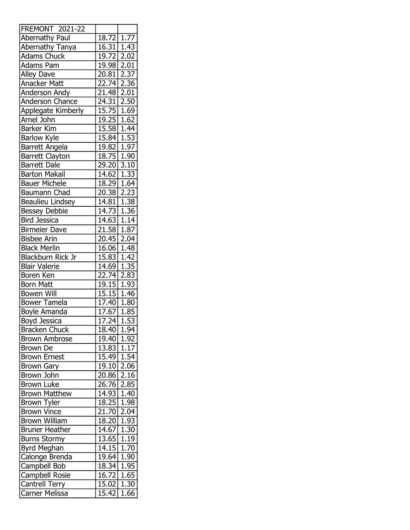| <b>FREMONT 2021-22</b>  |                         |                   |
|-------------------------|-------------------------|-------------------|
| Abernathy Paul          | $\overline{18.72}$      | 1.77              |
| Abernathy Tanya         | 16.31 1.43              |                   |
| <b>Adams Chuck</b>      | 19.72 2.02              |                   |
| <b>Adams Pam</b>        | 19.98                   | 2.01              |
| <b>Alley Dave</b>       | 20.81                   | 2.37              |
| Anacker Matt            | 22.74 2.36              |                   |
| Anderson Andy           | $21.48$ 2.01            |                   |
| Anderson Chance         | $\overline{2}$ 4.31     | $\overline{2.50}$ |
| Applegate Kimberly      | 15.75 1.69              |                   |
| Arnel John              | 19.25 1.62              |                   |
| <b>Barker Kim</b>       | $15.58$ 1.44            |                   |
| <b>Barlow Kyle</b>      | 15.84                   | 1.53              |
| <b>Barrett Angela</b>   | 19.82 1.97              |                   |
| Barrett Clayton         | 18.75 1.90              |                   |
| <b>Barrett Dale</b>     | 29.20                   | 3.10              |
| <b>Barton Makail</b>    | 14.62                   | 1.33              |
| <b>Bauer Michele</b>    | 18.29 1.64              |                   |
| Baumann Chad            | 20.38                   | 2.23              |
| <b>Beaulieu Lindsey</b> | 14.81                   | 1.38              |
| <b>Bessey Debbie</b>    | 14.73                   | 1.36              |
| <b>Bird Jessica</b>     | 14.63 1.14              |                   |
| <b>Birmeier Dave</b>    | 21.58                   | 1.87              |
| <b>Bisbee Arin</b>      | 20.45                   | 2.04              |
| <b>Black Merlin</b>     | 16.06 1.48              |                   |
| Blackburn Rick Jr       | 15.83                   | 1.42              |
| <b>Blair Valerie</b>    | 14.69                   | 1.35              |
| Boren Ken               | 22.74                   | 2.83              |
| <b>Born Matt</b>        | 19.15 1.93              |                   |
| <b>Bowen Will</b>       | 15.15                   | $\overline{1.46}$ |
| <b>Bower Tamela</b>     | 17.40                   | $\overline{1.80}$ |
| <b>Boyle Amanda</b>     | 17.67 1.85              |                   |
| <b>Boyd Jessica</b>     | $\overline{17.24}$ 1.53 |                   |
| <b>Bracken Chuck</b>    |                         | $\overline{1.94}$ |
| <b>Brown Ambrose</b>    | 18.40<br>19.40          |                   |
|                         |                         | 1.92              |
| Brown De                | 13.83                   | 1.17              |
| <b>Brown Ernest</b>     | 15.49                   | 1.54              |
| <b>Brown Gary</b>       | 19.10                   | 2.06              |
| Brown John              | 20.86                   | 2.16              |
| <b>Brown Luke</b>       | 26.76                   | 2.85              |
| <b>Brown Matthew</b>    | 14.93                   | 1.40              |
| <b>Brown Tyler</b>      | 18.25                   | 1.98              |
| <b>Brown Vince</b>      | 21.70                   | 2.04              |
| <b>Brown William</b>    | 18.20                   | 1.93              |
| <b>Bruner Heather</b>   | 14.67                   | 1.30              |
| <b>Burns Stormy</b>     | 13.65                   | 1.19              |
| Byrd Meghan             | 14.15                   | 1.70              |
| Calonge Brenda          | 19.64                   | 1.90              |
| Campbell Bob            | $\overline{18.34}$      | 1.95              |
| Campbell Rosie          | 16.72                   | 1.65              |
| <b>Cantrell Terry</b>   | 15.02                   | 1.30              |
| Carner Melissa          | 15.42                   | 1.66              |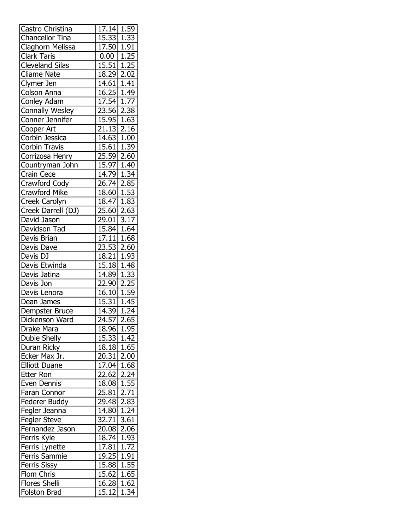| Castro Christina                | 17.14                        | 1.59 |
|---------------------------------|------------------------------|------|
| Chancellor Tina                 | 15.33 1.33                   |      |
| Claghorn Melissa                | 17.50 1.91                   |      |
| Clark Taris                     | $0.00$   1.25                |      |
| <b>Cleveland Silas</b>          | 15.51   1.25                 |      |
| <b>Cliame Nate</b>              | 18.29                        | 2.02 |
| Clymer Jen                      | 14.61   1.41                 |      |
| Colson Anna                     | 16.25 1.49                   |      |
| Conley Adam                     | $17.54$ 1.77                 |      |
| <b>Connally Wesley</b>          | 23.56 2.38                   |      |
| Conner Jennifer                 | 15.95 1.63                   |      |
| Cooper Art                      | $\overline{21.13}$ 2.16      |      |
| Corbin Jessica                  | 14.63   1.00                 |      |
| <b>Corbin Travis</b>            | 15.61 1.39                   |      |
| Corrizosa Henry                 | 25.59 2.60                   |      |
| Countryman John                 | 15.97 1.40                   |      |
| Crain Cece                      | 14.79 1.34                   |      |
| <b>Crawford Cody</b>            | 26.74 2.85                   |      |
| Crawford Mike                   | 18.60 1.53                   |      |
| <b>Creek Carolyn</b>            | $18.47$ 1.83                 |      |
| Creek Darrell (DJ)              | 25.60                        | 2.63 |
| David Jason                     | 29.01 3.17                   |      |
| Davidson Tad                    | 15.84 1.64                   |      |
| Davis Brian                     | $17.11 \mid 1.68$            |      |
| Davis Dave                      | 23.53 2.60                   |      |
| Davis DJ                        | 18.21   1.93                 |      |
| Davis Etwinda                   | 15.18 1.48                   |      |
| Davis Jatina                    | 14.89                        | 1.33 |
| Davis Jon                       | 22.90                        | 2.25 |
| Davis Lenora                    | 16.10 1.59                   |      |
| Dean James                      | $15.31 \mid 1.45$            |      |
| Dempster Bruce                  | 14.39 1.24                   |      |
| Dickenson Ward                  | 24.57                        | 2.65 |
| Drake Mara                      | 18.96 1.95                   |      |
| <b>Dubie Shelly</b>             | 15.33                        | 1.42 |
| Duran Ricky                     | 18.18 1.65                   |      |
| Ecker Max Jr.                   | 20.31 2.00                   |      |
| <b>Elliott Duane</b>            | 17.04                        | 1.68 |
| <b>Etter Ron</b>                | 22.62                        | 2.24 |
| Even Dennis                     | 18.08                        | 1.55 |
| Faran Connor                    | 25.81                        | 2.71 |
| Federer Buddy                   | 29.48                        | 2.83 |
| Fegler Jeanna                   | 14.80                        | 1.24 |
| Fegler Steve                    | 32.71                        | 3.61 |
| Fernandez Jason                 | 20.08 2.06                   |      |
|                                 | 18.74                        | 1.93 |
| Ferris Kyle                     | 17.81                        | 1.72 |
| Ferris Lynette<br>Ferris Sammie | 19.25                        | 1.91 |
|                                 | 15.88                        | 1.55 |
| Ferris Sissy<br>Flom Chris      |                              |      |
|                                 | $\overline{1}$ 5.62<br>16.28 | 1.65 |
| <b>Flores Shelli</b>            |                              | 1.62 |
| Folston Brad                    | 15.12                        | 1.34 |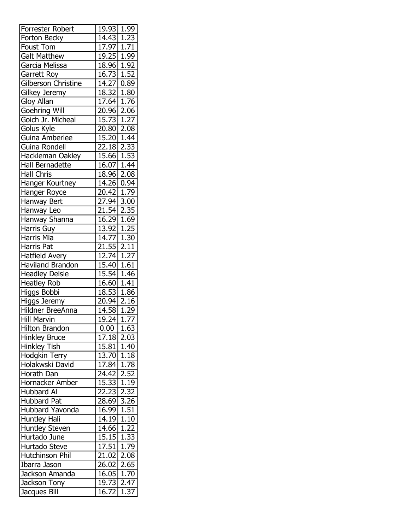| Forrester Robert           | 19.93                                 | 1.99                |
|----------------------------|---------------------------------------|---------------------|
| Forton Becky               | 14.43 1.23                            |                     |
| Foust Tom                  | 17.97   1.71                          |                     |
| <b>Galt Matthew</b>        | $19.25$   1.99                        |                     |
| Garcia Melissa             | 18.96 1.92                            |                     |
| Garrett Roy                | 16.73                                 | 1.52                |
| <b>Gilberson Christine</b> | 14.27 0.89                            |                     |
| Gilkey Jeremy              | 18.32 1.80                            |                     |
| Gloy Allan                 | 17.64 1.76                            |                     |
| Goehring Will              | 20.96 2.06                            |                     |
| Goich Jr. Micheal          | 15.73 1.27                            |                     |
| Golus Kyle                 | $\overline{20.80}$ 2.08               |                     |
| Guina Amberlee             | 15.20   1.44                          |                     |
| Guina Rondell              | 22.18 2.33                            |                     |
| Hackleman Oakley           | 15.66 1.53                            |                     |
| Hall Bernadette            | $16.07$ 1.44                          |                     |
| <b>Hall Chris</b>          | $18.96$ 2.08                          |                     |
| Hanger Kourtney            | 14.26 0.94                            |                     |
| Hanger Royce               | 20.42 1.79                            |                     |
| Hanway Bert                | $\overline{27.94}$ 3.00               |                     |
| Hanway Leo                 | $21.54$ 2.35                          |                     |
| Hanway Shanna              | 16.29 1.69                            |                     |
| Harris Guy                 | 13.92 1.25                            |                     |
| <b>Harris Mia</b>          | $14.77$ 1.30                          |                     |
| Harris Pat                 | $21.55$ $2.11$                        |                     |
| <b>Hatfield Avery</b>      | 12.74 1.27                            |                     |
| <b>Haviland Brandon</b>    | 15.40 1.61                            |                     |
| <b>Headley Delsie</b>      | $15.\overline{54}$                    | 1.46                |
| <b>Heatley Rob</b>         | 16.60                                 | 1.41                |
|                            | 18.53 1.86                            |                     |
| Higgs Bobbi                |                                       |                     |
| Higgs Jeremy               | 20.94 2.16<br>14.58 1.29              |                     |
| Hildner BreeAnna           |                                       |                     |
| <b>Hill Marvin</b>         | 19.24                                 | 1.77                |
| Hilton Brandon             | $0.00$  <br>$\overline{17.18}$   2.03 | 1.63                |
| <b>Hinkley Bruce</b>       |                                       |                     |
| <b>Hinkley Tish</b>        | 15.81   1.40                          |                     |
| Hodgkin Terry              | 13.70                                 | 1.18                |
| Holakwski David            | $\overline{17.84}$ 1.78               |                     |
| Horath Dan                 | $\overline{24.42}$ 2.52               |                     |
| Hornacker Amber            | 15.33                                 | 1.19                |
| Hubbard Al                 | 22.23                                 | 2.32                |
| <b>Hubbard Pat</b>         | 28.69                                 | 3.26                |
| Hubbard Yavonda            | 16.99                                 | 1.51                |
| Huntley Hali               | $14.19$ 1.10                          |                     |
| <b>Huntley Steven</b>      | 14.66                                 | 1.22                |
| Hurtado June               | 15.15 1.33                            |                     |
| Hurtado Steve              | 17.51                                 | $\frac{1.79}{1.79}$ |
| Hutchinson Phil            | 21.02                                 | 2.08                |
| Ibarra Jason               | 26.02                                 | 2.65                |
| Jackson Amanda             | 16.05                                 | 1.70                |
| Jackson Tony               | 19.73                                 | 2.47                |
| Jacques Bill               | 16.72                                 | $\overline{1.37}$   |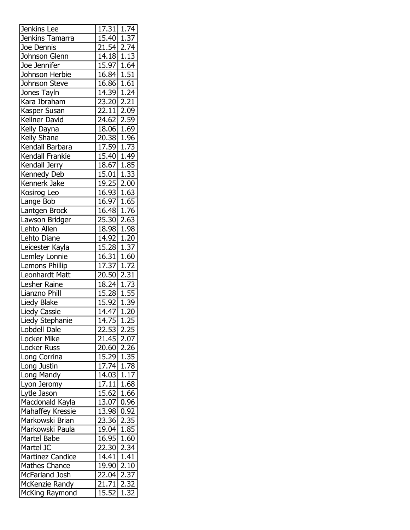| Jenkins Lee             | 17.31                   | 1.74 |
|-------------------------|-------------------------|------|
| Jenkins Tamarra         | $15.40$ 1.37            |      |
| Joe Dennis              | 21.54 2.74              |      |
| Johnson Glenn           | $14.18$ 1.13            |      |
| Joe Jennifer            | $15.97 \mid 1.64$       |      |
| Johnson Herbie          | $16.84$ 1.51            |      |
| Johnson Steve           | 16.86 1.61              |      |
| Jones Tayln             | 14.39 1.24              |      |
| Kara Ibraham            | $\overline{23.20}$      | 2.21 |
| Kasper Susan            | 22.11                   | 2.09 |
| Kellner David           | 24.62 2.59              |      |
| Kelly Dayna             | 18.06 1.69              |      |
| Kelly Shane             | $\overline{20.38}$ 1.96 |      |
| Kendall Barbara         | 17.59 1.73              |      |
| Kendall Frankie         | $15.40$ 1.49            |      |
| Kendall Jerry           | 18.67 1.85              |      |
| Kennedy Deb             | 15.01 1.33              |      |
| Kennerk Jake            | 19.25 2.00              |      |
| Kosirog Leo             | $16.93$ 1.63            |      |
| Lange Bob               | $16.97$ 1.65            |      |
| Lantgen Brock           | $16.48 \mid 1.76$       |      |
| Lawson Bridger          | 25.30 2.63              |      |
| Lehto Allen             | 18.98 1.98              |      |
| Lehto Diane             | 14.92 1.20              |      |
|                         |                         |      |
| Leicester Kayla         | 15.28                   | 1.37 |
| Lemley Lonnie           | 16.31   1.60            |      |
| Lemons Phillip          | 17.37                   | 1.72 |
| Leonhardt Matt          | 20.50                   | 2.31 |
| Lesher Raine            | 18.24 1.73              |      |
| Lianzno Phill           | 15.28 1.55              |      |
| Liedy Blake             | 15.92 1.39              |      |
| Liedy Cassie            | 14.47 1.20              |      |
| Liedy Stephanie         | 14.75 1.25              |      |
| Lobdell Dale            | 22.53                   | 2.25 |
| Locker Mike             | 21.45                   | 2.07 |
| Locker Russ             | 20.60                   | 2.26 |
| Long Corrina            | 15.29                   | 1.35 |
| Long Justin             | 17.74                   | 1.78 |
| Long Mandy              | 14.03                   | 1.17 |
| Lyon Jeromy             | 17.11                   | 1.68 |
| Lytle Jason             | 15.62 1.66              |      |
| Macdonald Kayla         | 13.07                   | 0.96 |
| Mahaffey Kressie        | 13.98                   | 0.92 |
| Markowski Brian         | 23.36 2.35              |      |
| Markowski Paula         | 19.04                   | 1.85 |
| Martel Babe             | 16.95                   | 1.60 |
| Martel JC               | 22.30                   | 2.34 |
| <b>Martinez Candice</b> | 14.41                   | 1.41 |
| <b>Mathes Chance</b>    | 19.90                   | 2.10 |
| McFarland Josh          | 22.04                   | 2.37 |
| McKenzie Randy          | 21.71                   | 2.32 |
| McKing Raymond          | 15.52                   | 1.32 |
|                         |                         |      |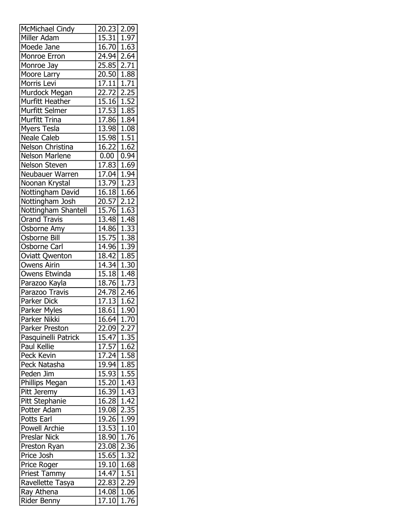| McMichael Cindy       | 20.23 2.09         |                   |
|-----------------------|--------------------|-------------------|
| Miller Adam           | 15.31   1.97       |                   |
| Moede Jane            | 16.70 1.63         |                   |
| Monroe Erron          | 24.94              | 2.64              |
| Monroe Jay            | 25.85              | 2.71              |
| Moore Larry           | 20.50              | 1.88              |
| Morris Levi           | 17.11              | 1.71              |
| Murdock Megan         | 22.72              | 2.25              |
| Murfitt Heather       | 15.16              | 1.52              |
| Murfitt Selmer        | 17.53              | 1.85              |
| <b>Murfitt Trina</b>  | 17.86 1.84         |                   |
| Myers Tesla           | 13.98              | 1.08              |
| <b>Neale Caleb</b>    | 15.98              | 1.51              |
| Nelson Christina      | 16.22              | 1.62              |
| Nelson Marlene        | 0.00               | 0.94              |
| Nelson Steven         | 17.83              | 1.69              |
| Neubauer Warren       | 17.04              | 1.94              |
| Noonan Krystal        | 13.79              | 1.23              |
| Nottingham David      | 16.18              | 1.66              |
| Nottingham Josh       | 20.57              | 2.12              |
| Nottingham Shantell   | 15.76              | 1.63              |
| <b>Orand Travis</b>   | 13.48 1.48         |                   |
| Osborne Amy           | 14.86              | 1.33              |
| Osborne Bill          | 15.75              | 1.38              |
| Osborne Carl          | 14.96              | 1.39              |
| <b>Oviatt Qwenton</b> | 18.42              | 1.85              |
| <b>Owens Airin</b>    | 14.34              | 1.30              |
| Owens Etwinda         | 15.18              | 1.48              |
| Parazoo Kayla         | 18.76              | 1.73              |
| Parazoo Travis        | 24.78              | 2.46              |
| Parker Dick           | 17.13              | 1.62              |
| Parker Myles          | 18.61              | 1.90              |
| Parker Nikki          | 16.64              | 1.70              |
| Parker Preston        | 22.09              | 2.27              |
| Pasquinelli Patrick   | 15.47              | 1.35              |
| <b>Paul Kellie</b>    | 17.57              | 1.62              |
| Peck Kevin            | 17.24              | 1.58              |
| Peck Natasha          | $\overline{19.94}$ | 1.85              |
| Peden Jim             |                    | 1.55              |
|                       | 15.93              |                   |
| Phillips Megan        | 15.20              | 1.43              |
| Pitt Jeremy           | 16.39              | 1.43              |
| Pitt Stephanie        | 16.28              | 1.42              |
| Potter Adam           | 19.08              | 2.35              |
| Potts Earl            | 19.26              | 1.99              |
| <b>Powell Archie</b>  | 13.53              | 1.10              |
| Preslar Nick          | 18.90              | $\overline{1.76}$ |
| Preston Ryan          | 23.08              | 2.36              |
| Price Josh            | 15.65              | 1.32              |
| Price Roger           | 19.10              | 1.68              |
| <b>Priest Tammy</b>   | 14.47              | 1.51              |
| Ravellette Tasya      | 22.83              | 2.29              |
| Ray Athena            | 14.08              | 1.06              |
| Rider Benny           | 17.10              | 1.76              |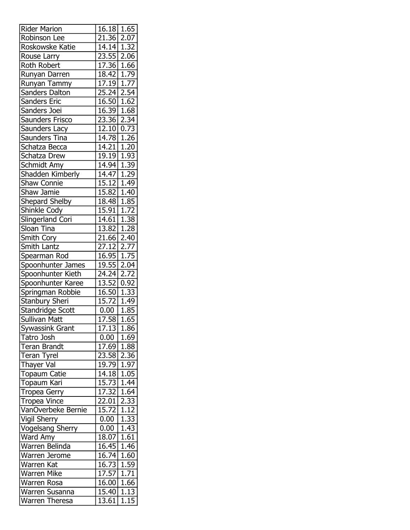| <b>Rider Marion</b>     | 16.18                     | 1.65              |
|-------------------------|---------------------------|-------------------|
| Robinson Lee            | 21.36 2.07                |                   |
| Roskowske Katie         | 14.14 1.32                |                   |
| Rouse Larry             | $23.\overline{55}$ 2.06   |                   |
| <b>Roth Robert</b>      | $17.36$ 1.66              |                   |
| Runyan Darren           | 18.42                     | 1.79              |
| Runyan Tammy            | 17.19 1.77                |                   |
| <b>Sanders Dalton</b>   | $25.24$ 2.54              |                   |
| Sanders Eric            | 16.50   1.62              |                   |
| Sanders Joei            | 16.39 1.68                |                   |
| Saunders Frisco         | 23.36 2.34                |                   |
| Saunders Lacy           | $\overline{12.10}$ 0.73   |                   |
| Saunders Tina           | 14.78                     | 1.26              |
| Schatza Becca           | 14.21                     | 1.20              |
| Schatza Drew            | $\overline{19.19}$   1.93 |                   |
| Schmidt Amy             | 14.94                     | 1.39              |
| Shadden Kimberly        | 14.47                     | 1.29              |
|                         | 15.12 1.49                |                   |
| <b>Shaw Connie</b>      | $15.82 \mid 1.40$         |                   |
| Shaw Jamie              |                           |                   |
| Shepard Shelby          | 18.48 1.85                |                   |
| Shinkle Cody            | 15.91                     | 1.72              |
| Slingerland Cori        | 14.61                     | 1.38              |
| Sloan Tina              | 13.82 1.28                |                   |
| Smith Cory              | 21.66                     | 2.40              |
| Smith Lantz             | 27.12                     | 2.77              |
| Spearman Rod            | 16.95 1.75                |                   |
| Spoonhunter James       | 19.55                     | 2.04              |
| Spoonhunter Kieth       | 24.24                     | 2.72              |
| Spoonhunter Karee       | 13.52                     | 0.92              |
| Springman Robbie        | 16.50 1.33                |                   |
| <b>Stanbury Sheri</b>   | 15.72                     | 1.49              |
| Standridge Scott        | 0.00                      | 1.85              |
| Sullivan Matt           | $\overline{17.58}$        | $\overline{1.65}$ |
| Sywassink Grant         | 17.13                     | 1.86              |
| Tatro Josh              | 0.00                      | 1.69              |
| <b>Teran Brandt</b>     | 17.69                     | 1.88              |
| <b>Teran Tyrel</b>      | 23.58                     | 2.36              |
| Thayer Val              | 19.79 1.97                |                   |
| <b>Topaum Catie</b>     | 14.18                     | 1.05              |
| Topaum Kari             | 15.73                     | 1.44              |
| Tropea Gerry            | 17.32                     | 1.64              |
| <b>Tropea Vince</b>     | 22.01                     | 2.33              |
| VanOverbeke Bernie      | 15.72                     | 1.12              |
| Vigil Sherry            | 0.00                      | 1.33              |
| <b>Vogelsang Sherry</b> | 0.00                      | 1.43              |
| Ward Amy                | 18.07 1.61                |                   |
| Warren Belinda          | $\overline{16.45}$        | 1.46              |
| Warren Jerome           | 16.74                     | 1.60              |
| Warren Kat              | 16.73                     | 1.59              |
| <b>Warren Mike</b>      |                           |                   |
|                         | 17.57                     | 1.71              |
| Warren Rosa             | 16.00                     | 1.66              |
| Warren Susanna          | 15.40                     | 1.13              |
| Warren Theresa          | 13.61                     | 1.15              |